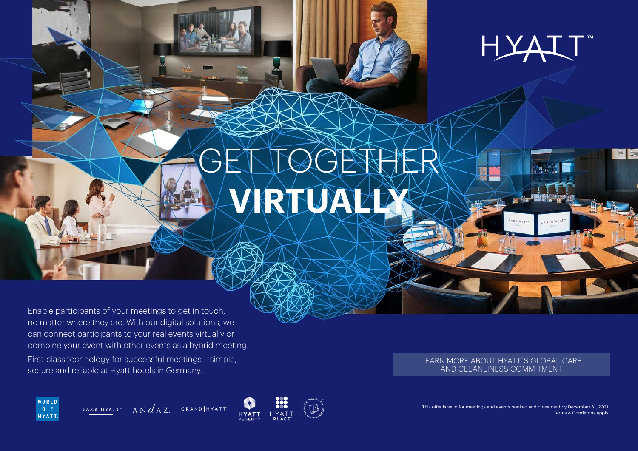

冒险

# GET TOGETHER **VIRTUALLY**

Enable participants of your meetings to get in touch, no matter where they are. With our digital solutions, we can connect participants to your real events virtually or combine your event with other events as a hybrid meeting.

First-class technology for successful meetings – simple, secure and reliable at Hyatt hotels in Germany.

#### [LEARN MORE ABOUT HYATT`S GLOBAL CARE](https://www.hyatt.com/info/care-and-cleanliness-eame-swa)  AND CLEANLINESS COMMITMENT

GRAND HYATT

CRAND HYAT

This offer is valid for meetings and events booked and consumed by December 31, 2021. Terms & Conditions apply.



PARK HYATT" A N  $d$  A Z. GRAND HYATT